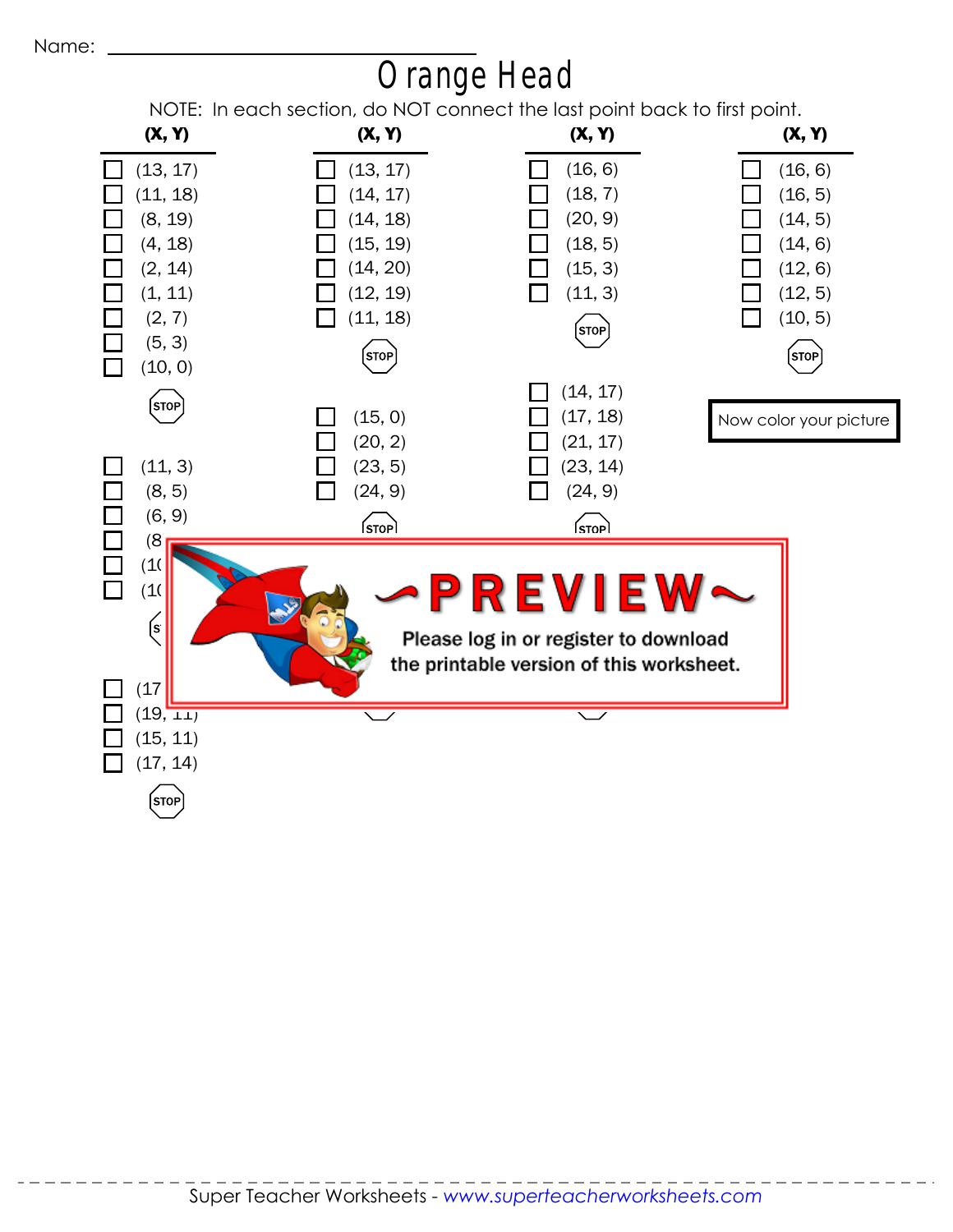

## Orange Head

NOTE: In each section, do NOT connect the last point back to first point.

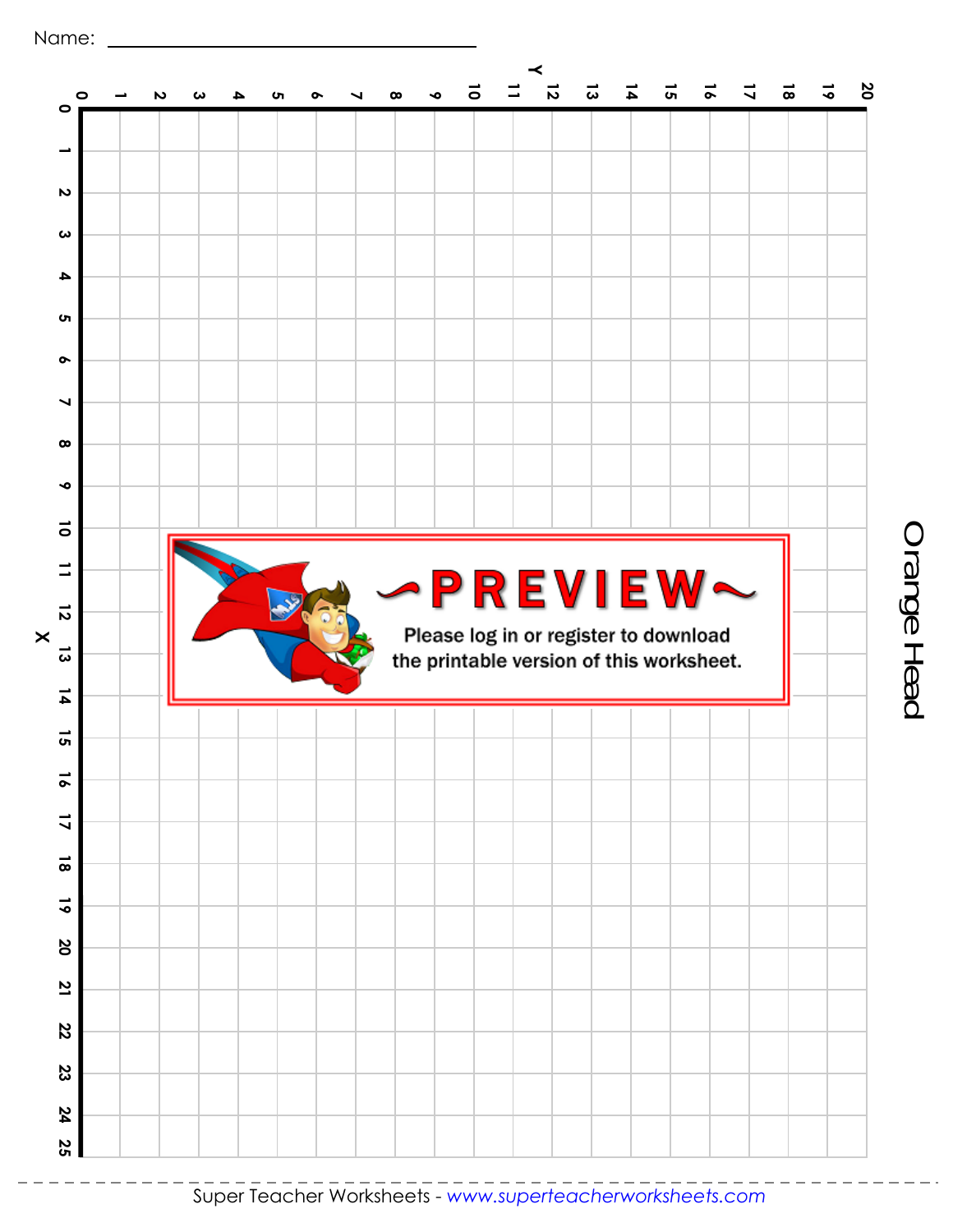

Orange Head Orange Head